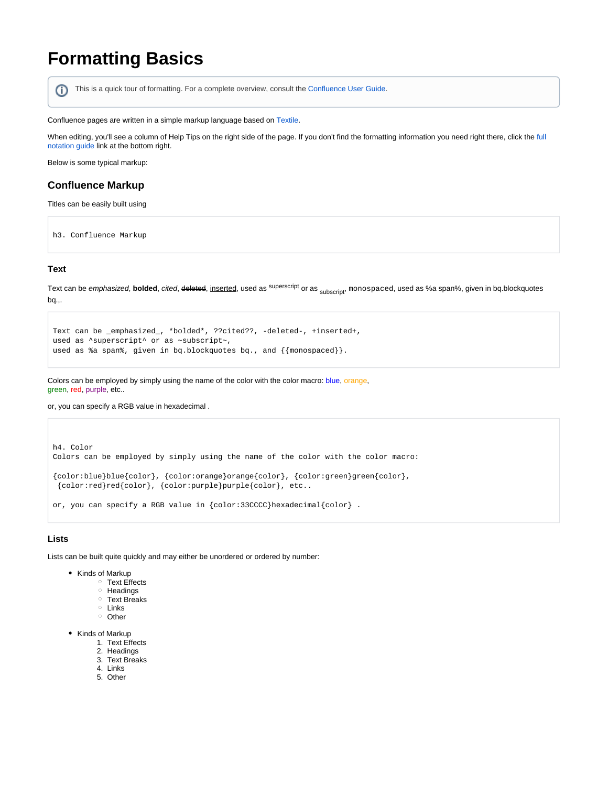# **Formatting Basics**

ന This is a quick tour of formatting. For a complete overview, consult the [Confluence User Guide](http://confluence.atlassian.com/display/DOC/Confluence+User+Guide).

Confluence pages are written in a simple markup language based on [Textile.](http://textism.com/tools/textile/)

When editing, you'll see a column of Help Tips on the right side of the page. If you don't find the formatting information you need right there, click the [full](https://wiki.geneseo.edu/renderer/notationhelp.action)  [notation guide](https://wiki.geneseo.edu/renderer/notationhelp.action) link at the bottom right.

Below is some typical markup:

## **Confluence Markup**

Titles can be easily built using

h3. Confluence Markup

#### **Text**

Text can be *emphasized*, **bolded**, *cited*, <del>deleted</del>, <u>inserted,</u> used as <sup>superscript</sup> or as <sub>subscript</sub>, <code>monospaced, used as %a span%, given in bq.blockquotes</code> bq.,.

```
Text can be _emphasized_, *bolded*, ??cited??, -deleted-, +inserted+, 
used as ^superscript^ or as ~subscript~,
used as %a span%, given in bq.blockquotes bq., and \{\{\text{monospaced}\}\}.
```
Colors can be employed by simply using the name of the color with the color macro: blue, orange, green, red, purple, etc..

or, you can specify a RGB value in hexadecimal .

```
h4. Color
Colors can be employed by simply using the name of the color with the color macro: 
{color:blue}blue{color}, {color:orange}orange{color}, {color:green}green{color},
 {color:red}red{color}, {color:purple}purple{color}, etc..
or, you can specify a RGB value in {color:33CCCC}hexadecimal{color} .
```
### **Lists**

Lists can be built quite quickly and may either be unordered or ordered by number:

- Kinds of Markup
	- <sup>o</sup> Text Effects
	- $\circ$  Headings
	- Text Breaks
	- <sup>o</sup> Links
	- <sup>o</sup> Other
- Kinds of Markup
	- 1. Text Effects
	- 2. Headings
	- 3. Text Breaks
	- 4. Links 5. Other